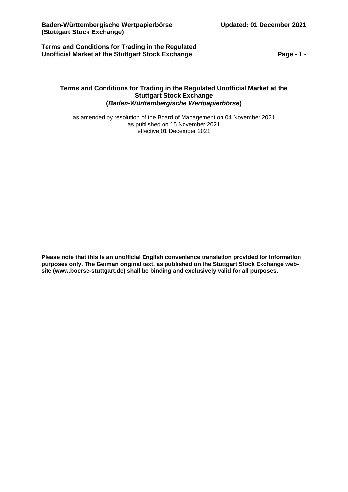**Terms and Conditions for Trading in the Regulated Unofficial Market at the Stuttgart Stock Exchange Page - 1 -**

## **Terms and Conditions for Trading in the Regulated Unofficial Market at the Stuttgart Stock Exchange (***Baden-Württembergische Wertpapierbörse***)**

as amended by resolution of the Board of Management on 04 November 2021 as published on 15 November 2021 effective 01 December 2021

**Please note that this is an unofficial English convenience translation provided for information purposes only. The German original text, as published on the Stuttgart Stock Exchange website (www.boerse-stuttgart.de) shall be binding and exclusively valid for all purposes.**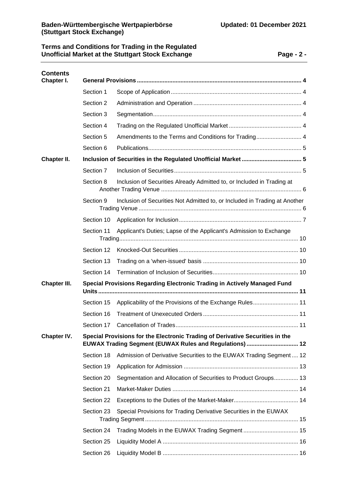# **Terms and Conditions for Trading in the Regulated Unofficial Market at the Stuttgart Stock Exchange Page - 2 -**

| <b>Contents</b><br>Chapter I. |                                                                                                                                          |                                                                            |  |  |  |
|-------------------------------|------------------------------------------------------------------------------------------------------------------------------------------|----------------------------------------------------------------------------|--|--|--|
|                               | Section 1                                                                                                                                |                                                                            |  |  |  |
|                               | Section 2                                                                                                                                |                                                                            |  |  |  |
|                               | Section 3                                                                                                                                |                                                                            |  |  |  |
|                               | Section 4                                                                                                                                |                                                                            |  |  |  |
|                               | Section 5                                                                                                                                |                                                                            |  |  |  |
|                               | Section 6                                                                                                                                |                                                                            |  |  |  |
| Chapter II.                   |                                                                                                                                          |                                                                            |  |  |  |
|                               | Section 7                                                                                                                                |                                                                            |  |  |  |
|                               | Section 8                                                                                                                                | Inclusion of Securities Already Admitted to, or Included in Trading at     |  |  |  |
|                               | Section 9                                                                                                                                | Inclusion of Securities Not Admitted to, or Included in Trading at Another |  |  |  |
|                               | Section 10                                                                                                                               |                                                                            |  |  |  |
|                               | Applicant's Duties; Lapse of the Applicant's Admission to Exchange<br>Section 11                                                         |                                                                            |  |  |  |
|                               | Section 12                                                                                                                               |                                                                            |  |  |  |
|                               | Section 13                                                                                                                               |                                                                            |  |  |  |
|                               | Section 14                                                                                                                               |                                                                            |  |  |  |
| Chapter III.                  | Special Provisions Regarding Electronic Trading in Actively Managed Fund                                                                 |                                                                            |  |  |  |
|                               | Section 15                                                                                                                               | Applicability of the Provisions of the Exchange Rules 11                   |  |  |  |
|                               | Section 16                                                                                                                               |                                                                            |  |  |  |
|                               | Section 17                                                                                                                               |                                                                            |  |  |  |
| Chapter IV.                   | Special Provisions for the Electronic Trading of Derivative Securities in the<br>EUWAX Trading Segment (EUWAX Rules and Regulations)  12 |                                                                            |  |  |  |
|                               | Section 18                                                                                                                               | Admission of Derivative Securities to the EUWAX Trading Segment  12        |  |  |  |
|                               | Section 19                                                                                                                               |                                                                            |  |  |  |
|                               | Section 20                                                                                                                               | Segmentation and Allocation of Securities to Product Groups 13             |  |  |  |
|                               | Section 21                                                                                                                               |                                                                            |  |  |  |
|                               | Section 22                                                                                                                               |                                                                            |  |  |  |
|                               | Section 23                                                                                                                               | Special Provisions for Trading Derivative Securities in the EUWAX          |  |  |  |
|                               | Section 24                                                                                                                               |                                                                            |  |  |  |
|                               | Section 25                                                                                                                               |                                                                            |  |  |  |
|                               | Section 26                                                                                                                               |                                                                            |  |  |  |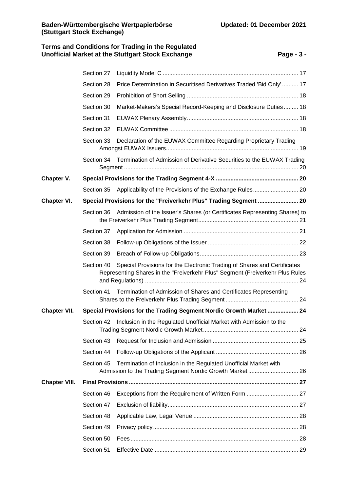# **Terms and Conditions for Trading in the Regulated Unofficial Market at the Stuttgart Stock Exchange Page - 3 -**

|                      | Section 27                                                          |                                                                                                                                                           |  |  |  |
|----------------------|---------------------------------------------------------------------|-----------------------------------------------------------------------------------------------------------------------------------------------------------|--|--|--|
|                      | Section 28                                                          | Price Determination in Securitised Derivatives Traded 'Bid Only'  17                                                                                      |  |  |  |
|                      | Section 29                                                          |                                                                                                                                                           |  |  |  |
|                      | Section 30                                                          | Market-Makers's Special Record-Keeping and Disclosure Duties 18                                                                                           |  |  |  |
|                      | Section 31                                                          |                                                                                                                                                           |  |  |  |
|                      | Section 32                                                          |                                                                                                                                                           |  |  |  |
|                      | Section 33                                                          | Declaration of the EUWAX Committee Regarding Proprietary Trading                                                                                          |  |  |  |
|                      | Section 34                                                          | Termination of Admission of Derivative Securities to the EUWAX Trading                                                                                    |  |  |  |
| Chapter V.           |                                                                     |                                                                                                                                                           |  |  |  |
|                      | Section 35                                                          |                                                                                                                                                           |  |  |  |
| Chapter VI.          |                                                                     | Special Provisions for the "Freiverkehr Plus" Trading Segment  20                                                                                         |  |  |  |
|                      | Section 36                                                          | Admission of the Issuer's Shares (or Certificates Representing Shares) to                                                                                 |  |  |  |
|                      | Section 37                                                          |                                                                                                                                                           |  |  |  |
|                      | Section 38                                                          |                                                                                                                                                           |  |  |  |
|                      | Section 39                                                          |                                                                                                                                                           |  |  |  |
|                      | Section 40                                                          | Special Provisions for the Electronic Trading of Shares and Certificates<br>Representing Shares in the "Freiverkehr Plus" Segment (Freiverkehr Plus Rules |  |  |  |
|                      | Section 41                                                          | Termination of Admission of Shares and Certificates Representing                                                                                          |  |  |  |
| <b>Chapter VII.</b>  | Special Provisions for the Trading Segment Nordic Growth Market  24 |                                                                                                                                                           |  |  |  |
|                      |                                                                     | Section 42 Inclusion in the Regulated Unofficial Market with Admission to the                                                                             |  |  |  |
|                      | Section 43                                                          |                                                                                                                                                           |  |  |  |
|                      | Section 44                                                          |                                                                                                                                                           |  |  |  |
|                      | Section 45                                                          | Termination of Inclusion in the Regulated Unofficial Market with                                                                                          |  |  |  |
| <b>Chapter VIII.</b> |                                                                     |                                                                                                                                                           |  |  |  |
|                      | Section 46                                                          |                                                                                                                                                           |  |  |  |
|                      | Section 47                                                          |                                                                                                                                                           |  |  |  |
|                      | Section 48                                                          |                                                                                                                                                           |  |  |  |
|                      | Section 49                                                          |                                                                                                                                                           |  |  |  |
|                      | Section 50                                                          |                                                                                                                                                           |  |  |  |
|                      | Section 51                                                          |                                                                                                                                                           |  |  |  |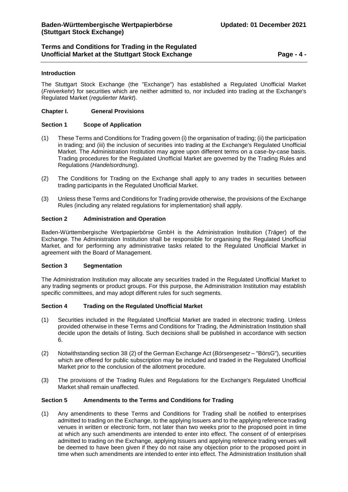# **Terms and Conditions for Trading in the Regulated Unofficial Market at the Stuttgart Stock Exchange Page - 4 -**

### **Introduction**

The Stuttgart Stock Exchange (the "Exchange") has established a Regulated Unofficial Market (*Freiverkehr*) for securities which are neither admitted to, nor included into trading at the Exchange's Regulated Market (*regulierter Markt*).

### <span id="page-3-0"></span>**Chapter I. General Provisions**

### <span id="page-3-1"></span>**Section 1 Scope of Application**

- (1) These Terms and Conditions for Trading govern (i) the organisation of trading; (ii) the participation in trading; and (iii) the inclusion of securities into trading at the Exchange's Regulated Unofficial Market. The Administration Institution may agree upon different terms on a case-by-case basis. Trading procedures for the Regulated Unofficial Market are governed by the Trading Rules and Regulations (*Handelsordnung*).
- (2) The Conditions for Trading on the Exchange shall apply to any trades in securities between trading participants in the Regulated Unofficial Market.
- (3) Unless these Terms and Conditions for Trading provide otherwise, the provisions of the Exchange Rules (including any related regulations for implementation) shall apply.

### <span id="page-3-2"></span>**Section 2 Administration and Operation**

Baden-Württembergische Wertpapierbörse GmbH is the Administration Institution (*Träger*) of the Exchange. The Administration Institution shall be responsible for organising the Regulated Unofficial Market, and for performing any administrative tasks related to the Regulated Unofficial Market in agreement with the Board of Management.

### <span id="page-3-3"></span>**Section 3 Segmentation**

The Administration Institution may allocate any securities traded in the Regulated Unofficial Market to any trading segments or product groups. For this purpose, the Administration Institution may establish specific committees, and may adopt different rules for such segments.

### <span id="page-3-4"></span>**Section 4 Trading on the Regulated Unofficial Market**

- (1) Securities included in the Regulated Unofficial Market are traded in electronic trading. Unless provided otherwise in these Terms and Conditions for Trading, the Administration Institution shall decide upon the details of listing. Such decisions shall be published in accordance with section 6.
- (2) Notwithstanding section 38 (2) of the German Exchange Act (*Börsengesetz* "BörsG"), securities which are offered for public subscription may be included and traded in the Regulated Unofficial Market prior to the conclusion of the allotment procedure.
- (3) The provisions of the Trading Rules and Regulations for the Exchange's Regulated Unofficial Market shall remain unaffected.

## <span id="page-3-5"></span>**Section 5 Amendments to the Terms and Conditions for Trading**

(1) Any amendments to these Terms and Conditions for Trading shall be notified to enterprises admitted to trading on the Exchange, to the applying Issuers and to the applying reference trading venues in written or electronic form, not later than two weeks prior to the proposed point in time at which any such amendments are intended to enter into effect. The consent of of enterprises admitted to trading on the Exchange, applying Issuers and applying reference trading venues will be deemed to have been given if they do not raise any objection prior to the proposed point in time when such amendments are intended to enter into effect. The Administration Institution shall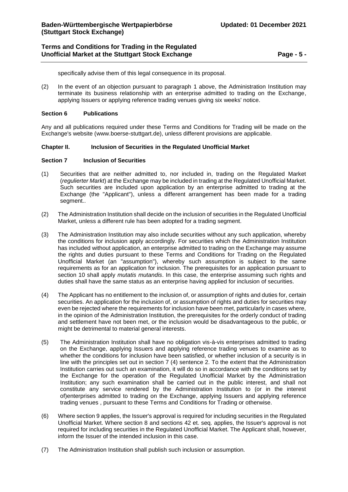# **Terms and Conditions for Trading in the Regulated Unofficial Market at the Stuttgart Stock Exchange Page - 5 -**

specifically advise them of this legal consequence in its proposal.

(2) In the event of an objection pursuant to paragraph 1 above, the Administration Institution may terminate its business relationship with an enterprise admitted to trading on the Exchange, applying Issuers or applying reference trading venues giving six weeks' notice.

### <span id="page-4-0"></span>**Section 6 Publications**

Any and all publications required under these Terms and Conditions for Trading will be made on the Exchange's website [\(www.boerse-stuttgart.de\)](http://www.boerse-stuttgart.de/), unless different provisions are applicable.

### <span id="page-4-1"></span>**Chapter II. Inclusion of Securities in the Regulated Unofficial Market**

### <span id="page-4-2"></span>**Section 7 Inclusion of Securities**

- (1) Securities that are neither admitted to, nor included in, trading on the Regulated Market (*regulierter Markt*) at the Exchange may be included in trading at the Regulated Unofficial Market. Such securities are included upon application by an enterprise admitted to trading at the Exchange (the "Applicant"), unless a different arrangement has been made for a trading segment..
- (2) The Administration Institution shall decide on the inclusion of securities in the Regulated Unofficial Market, unless a different rule has been adopted for a trading segment.
- (3) The Administration Institution may also include securities without any such application, whereby the conditions for inclusion apply accordingly. For securities which the Administration Institution has included without application, an enterprise admitted to trading on the Exchange may assume the rights and duties pursuant to these Terms and Conditions for Trading on the Regulated Unofficial Market (an "assumption"), whereby such assumption is subject to the same requirements as for an application for inclusion. The prerequisites for an application pursuant to section 10 shall apply *mutatis mutandis*. In this case, the enterprise assuming such rights and duties shall have the same status as an enterprise having applied for inclusion of securities.
- (4) The Applicant has no entitlement to the inclusion of, or assumption of rights and duties for, certain securities. An application for the inclusion of, or assumption of rights and duties for securities may even be rejected where the requirements for inclusion have been met, particularly in cases where, in the opinion of the Administration Institution, the prerequisites for the orderly conduct of trading and settlement have not been met, or the inclusion would be disadvantageous to the public, or might be detrimental to material general interests.
- (5) The Administration Institution shall have no obligation vis-à-vis enterprises admitted to trading on the Exchange, applying Issuers and applying reference trading venues to examine as to whether the conditions for inclusion have been satisfied, or whether inclusion of a security is in line with the principles set out in section 7 (4) sentence 2. To the extent that the Administration Institution carries out such an examination, it will do so in accordance with the conditions set by the Exchange for the operation of the Regulated Unofficial Market by the Administration Institution; any such examination shall be carried out in the public interest, and shall not constitute any service rendered by the Administration Institution to (or in the interest of)enterprises admitted to trading on the Exchange, applying Issuers and applying reference trading venues , pursuant to these Terms and Conditions for Trading or otherwise.
- (6) Where section 9 applies, the Issuer's approval is required for including securities in the Regulated Unofficial Market. Where section 8 and sections 42 et. seq. applies, the Issuer's approval is not required for including securities in the Regulated Unofficial Market. The Applicant shall, however, inform the Issuer of the intended inclusion in this case.
- (7) The Administration Institution shall publish such inclusion or assumption.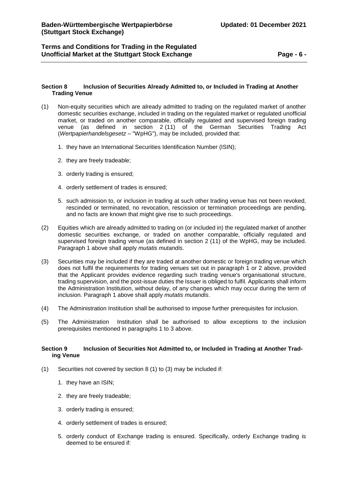# **Terms and Conditions for Trading in the Regulated Unofficial Market at the Stuttgart Stock Exchange Page - 6 -**

### <span id="page-5-0"></span>**Section 8 Inclusion of Securities Already Admitted to, or Included in Trading at Another Trading Venue**

- (1) Non-equity securities which are already admitted to trading on the regulated market of another domestic securities exchange, included in trading on the regulated market or regulated unofficial market, or traded on another comparable, officially regulated and supervised foreign trading venue (as defined in section 2 (11) of the German Securities Trading Act (*Wertpapierhandelsgesetz* – "WpHG"), may be included, provided that:
	- 1. they have an International Securities Identification Number (ISIN);
	- 2. they are freely tradeable;
	- 3. orderly trading is ensured;
	- 4. orderly settlement of trades is ensured;
	- 5. such admission to, or inclusion in trading at such other trading venue has not been revoked, rescinded or terminated, no revocation, rescission or termination proceedings are pending, and no facts are known that might give rise to such proceedings.
- (2) Equities which are already admitted to trading on (or included in) the regulated market of another domestic securities exchange, or traded on another comparable, officially regulated and supervised foreign trading venue (as defined in section 2 (11) of the WpHG, may be included. Paragraph 1 above shall apply *mutatis mutandis*.
- (3) Securities may be included if they are traded at another domestic or foreign trading venue which does not fulfil the requirements for trading venues set out in paragraph 1 or 2 above, provided that the Applicant provides evidence regarding such trading venue's organisational structure, trading supervision, and the post-issue duties the Issuer is obliged to fulfil. Applicants shall inform the Administration Institution, without delay, of any changes which may occur during the term of inclusion. Paragraph 1 above shall apply *mutatis mutandis*.
- (4) The Administration Institution shall be authorised to impose further prerequisites for inclusion.
- (5) The Administration Institution shall be authorised to allow exceptions to the inclusion prerequisites mentioned in paragraphs 1 to 3 above.

### <span id="page-5-1"></span>**Section 9 Inclusion of Securities Not Admitted to, or Included in Trading at Another Trading Venue**

- (1) Securities not covered by section 8 (1) to (3) may be included if:
	- 1. they have an ISIN;
	- 2. they are freely tradeable;
	- 3. orderly trading is ensured;
	- 4. orderly settlement of trades is ensured;
	- 5. orderly conduct of Exchange trading is ensured. Specifically, orderly Exchange trading is deemed to be ensured if: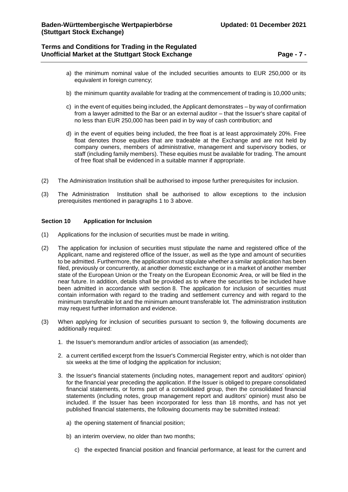## **Terms and Conditions for Trading in the Regulated Unofficial Market at the Stuttgart Stock Exchange <b>Page -** 7 -

- a) the minimum nominal value of the included securities amounts to EUR 250,000 or its equivalent in foreign currency;
- b) the minimum quantity available for trading at the commencement of trading is 10,000 units;
- c) in the event of equities being included, the Applicant demonstrates by way of confirmation from a lawyer admitted to the Bar or an external auditor – that the Issuer's share capital of no less than EUR 250,000 has been paid in by way of cash contribution; and
- d) in the event of equities being included, the free float is at least approximately 20%. Free float denotes those equities that are tradeable at the Exchange and are not held by company owners, members of administrative, management and supervisory bodies, or staff (including family members). These equities must be available for trading. The amount of free float shall be evidenced in a suitable manner if appropriate.
- (2) The Administration Institution shall be authorised to impose further prerequisites for inclusion.
- (3) The Administration Institution shall be authorised to allow exceptions to the inclusion prerequisites mentioned in paragraphs 1 to 3 above.

### <span id="page-6-0"></span>**Section 10 Application for Inclusion**

- (1) Applications for the inclusion of securities must be made in writing.
- (2) The application for inclusion of securities must stipulate the name and registered office of the Applicant, name and registered office of the Issuer, as well as the type and amount of securities to be admitted. Furthermore, the application must stipulate whether a similar application has been filed, previously or concurrently, at another domestic exchange or in a market of another member state of the European Union or the Treaty on the European Economic Area, or will be filed in the near future. In addition, details shall be provided as to where the securities to be included have been admitted in accordance with section 8. The application for inclusion of securities must contain information with regard to the trading and settlement currency and with regard to the minimum transferable lot and the minimum amount transferable lot. The administration institution may request further information and evidence.
- (3) When applying for inclusion of securities pursuant to section 9, the following documents are additionally required:
	- 1. the Issuer's memorandum and/or articles of association (as amended);
	- 2. a current certified excerpt from the Issuer's Commercial Register entry, which is not older than six weeks at the time of lodging the application for inclusion;
	- 3. the Issuer's financial statements (including notes, management report and auditors' opinion) for the financial year preceding the application. If the Issuer is obliged to prepare consolidated financial statements, or forms part of a consolidated group, then the consolidated financial statements (including notes, group management report and auditors' opinion) must also be included. If the Issuer has been incorporated for less than 18 months, and has not yet published financial statements, the following documents may be submitted instead:
		- a) the opening statement of financial position;
		- b) an interim overview, no older than two months;
			- c) the expected financial position and financial performance, at least for the current and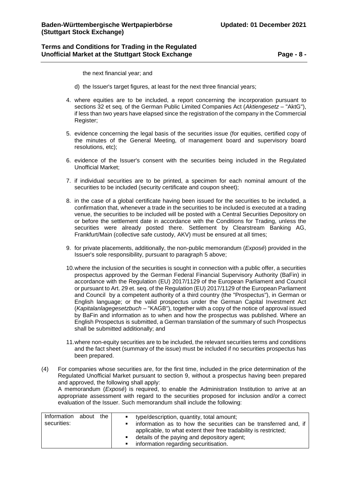## **Terms and Conditions for Trading in the Regulated Unofficial Market at the Stuttgart Stock Exchange Page - 8 -**

the next financial year; and

- d) the Issuer's target figures, at least for the next three financial years;
- 4. where equities are to be included, a report concerning the incorporation pursuant to sections 32 et seq. of the German Public Limited Companies Act (*Aktiengesetz* – "AktG"), if less than two years have elapsed since the registration of the company in the Commercial Register;
- 5. evidence concerning the legal basis of the securities issue (for equities, certified copy of the minutes of the General Meeting, of management board and supervisory board resolutions, etc);
- 6. evidence of the Issuer's consent with the securities being included in the Regulated Unofficial Market;
- 7. if individual securities are to be printed, a specimen for each nominal amount of the securities to be included (security certificate and coupon sheet);
- 8. in the case of a global certificate having been issued for the securities to be included, a confirmation that, whenever a trade in the securities to be included is executed at a trading venue, the securities to be included will be posted with a Central Securities Depository on or before the settlement date in accordance with the Conditions for Trading, unless the securities were already posted there. Settlement by Clearstream Banking AG, Frankfurt/Main (collective safe custody, AKV) must be ensured at all times;
- 9. for private placements, additionally, the non-public memorandum (*Exposé*) provided in the Issuer's sole responsibility, pursuant to paragraph 5 above;
- 10.where the inclusion of the securities is sought in connection with a public offer, a securities prospectus approved by the German Federal Financial Supervisory Authority (BaFin) in accordance with the Regulation (EU) 2017/1129 of the European Parliament and Council or pursuant to Art. 29 et. seq. of the Regulation (EU) 2017/1129 of the European Parliament and Council by a competent authority of a third country (the "Prospectus"), in German or English language; or the valid prospectus under the German Capital Investment Act (*Kapitalanlagegesetzbuch* – "KAGB"), together with a copy of the notice of approval issued by BaFin and information as to when and how the prospectus was published. Where an English Prospectus is submitted, a German translation of the summary of such Prospectus shall be submitted additionally; and
- 11.where non-equity securities are to be included, the relevant securities terms and conditions and the fact sheet (summary of the issue) must be included if no securities prospectus has been prepared.
- (4) For companies whose securities are, for the first time, included in the price determination of the Regulated Unofficial Market pursuant to section 9, without a prospectus having been prepared and approved, the following shall apply:

A memorandum (*Exposé*) is required, to enable the Administration Institution to arrive at an appropriate assessment with regard to the securities proposed for inclusion and/or a correct evaluation of the Issuer. Such memorandum shall include the following:

| Information | about | the I | ■ type/description, quantity, total amount;                      |
|-------------|-------|-------|------------------------------------------------------------------|
| securities: |       |       | information as to how the securities can be transferred and, if  |
|             |       |       | applicable, to what extent their free tradability is restricted; |
|             |       |       | details of the paying and depository agent;                      |
|             |       |       | information regarding securitisation.<br>$\mathbf{R}$ .          |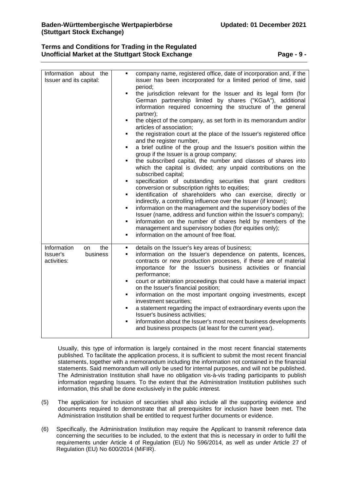# **Terms and Conditions for Trading in the Regulated Unofficial Market at the Stuttgart Stock Exchange <b>Page -** 9 -

| Information about the<br>Issuer and its capital: | company name, registered office, date of incorporation and, if the<br>٠<br>issuer has been incorporated for a limited period of time, said                                                                           |
|--------------------------------------------------|----------------------------------------------------------------------------------------------------------------------------------------------------------------------------------------------------------------------|
|                                                  | period;                                                                                                                                                                                                              |
|                                                  | the jurisdiction relevant for the Issuer and its legal form (for<br>٠                                                                                                                                                |
|                                                  | German partnership limited by shares ("KGaA"), additional<br>information required concerning the structure of the general                                                                                            |
|                                                  | partner);                                                                                                                                                                                                            |
|                                                  | the object of the company, as set forth in its memorandum and/or<br>٠<br>articles of association;                                                                                                                    |
|                                                  | the registration court at the place of the Issuer's registered office                                                                                                                                                |
|                                                  | and the register number,                                                                                                                                                                                             |
|                                                  | a brief outline of the group and the Issuer's position within the<br>٠<br>group if the Issuer is a group company;                                                                                                    |
|                                                  | the subscribed capital, the number and classes of shares into<br>which the capital is divided; any unpaid contributions on the<br>subscribed capital;                                                                |
|                                                  | specification of outstanding securities that grant creditors<br>٠                                                                                                                                                    |
|                                                  | conversion or subscription rights to equities;                                                                                                                                                                       |
|                                                  | identification of shareholders who can exercise, directly or<br>٠<br>indirectly, a controlling influence over the Issuer (if known);                                                                                 |
|                                                  | information on the management and the supervisory bodies of the<br>٠                                                                                                                                                 |
|                                                  | Issuer (name, address and function within the Issuer's company);                                                                                                                                                     |
|                                                  | information on the number of shares held by members of the<br>٠<br>management and supervisory bodies (for equities only);                                                                                            |
|                                                  | information on the amount of free float.<br>٠                                                                                                                                                                        |
| Information<br>the<br>on.                        | details on the Issuer's key areas of business;<br>٠                                                                                                                                                                  |
| Issuer's<br>business<br>activities:              | information on the Issuer's dependence on patents, licences,<br>٠<br>contracts or new production processes, if these are of material<br>importance for the Issuer's business activities or financial<br>performance; |
|                                                  | court or arbitration proceedings that could have a material impact<br>٠<br>on the Issuer's financial position;                                                                                                       |
|                                                  | information on the most important ongoing investments, except<br>٠<br>investment securities;                                                                                                                         |
|                                                  | a statement regarding the impact of extraordinary events upon the<br>٠                                                                                                                                               |
|                                                  | Issuer's business activities;<br>information about the Issuer's most recent business developments<br>٠                                                                                                               |
|                                                  | and business prospects (at least for the current year).                                                                                                                                                              |

Usually, this type of information is largely contained in the most recent financial statements published. To facilitate the application process, it is sufficient to submit the most recent financial statements, together with a memorandum including the information not contained in the financial statements. Said memorandum will only be used for internal purposes, and will not be published. The Administration Institution shall have no obligation vis-à-vis trading participants to publish information regarding Issuers. To the extent that the Administration Institution publishes such information, this shall be done exclusively in the public interest.

- (5) The application for inclusion of securities shall also include all the supporting evidence and documents required to demonstrate that all prerequisites for inclusion have been met. The Administration Institution shall be entitled to request further documents or evidence.
- (6) Specifically, the Administration Institution may require the Applicant to transmit reference data concerning the securities to be included, to the extent that this is necessary in order to fulfil the requirements under Article 4 of Regulation (EU) No 596/2014, as well as under Article 27 of Regulation (EU) No 600/2014 (MiFIR).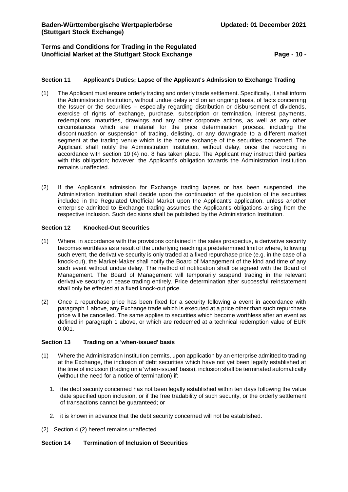**Terms and Conditions for Trading in the Regulated Unofficial Market at the Stuttgart Stock Exchange <b>Page -** 10 -

### <span id="page-9-0"></span>**Section 11 Applicant's Duties; Lapse of the Applicant's Admission to Exchange Trading**

- (1) The Applicant must ensure orderly trading and orderly trade settlement. Specifically, it shall inform the Administration Institution, without undue delay and on an ongoing basis, of facts concerning the Issuer or the securities – especially regarding distribution or disbursement of dividends, exercise of rights of exchange, purchase, subscription or termination, interest payments, redemptions, maturities, drawings and any other corporate actions, as well as any other circumstances which are material for the price determination process, including the discontinuation or suspension of trading, delisting, or any downgrade to a different market segment at the trading venue which is the home exchange of the securities concerned. The Applicant shall notify the Administration Institution, without delay, once the recording in accordance with section 10 (4) no. 8 has taken place. The Applicant may instruct third parties with this obligation; however, the Applicant's obligation towards the Administration Institution remains unaffected.
- (2) If the Applicant's admission for Exchange trading lapses or has been suspended, the Administration Institution shall decide upon the continuation of the quotation of the securities included in the Regulated Unofficial Market upon the Applicant's application, unless another enterprise admitted to Exchange trading assumes the Applicant's obligations arising from the respective inclusion. Such decisions shall be published by the Administration Institution.

### <span id="page-9-1"></span>**Section 12 Knocked-Out Securities**

- (1) Where, in accordance with the provisions contained in the sales prospectus, a derivative security becomes worthless as a result of the underlying reaching a predetermined limit or where, following such event, the derivative security is only traded at a fixed repurchase price (e.g. in the case of a knock-out), the Market-Maker shall notify the Board of Management of the kind and time of any such event without undue delay. The method of notification shall be agreed with the Board of Management. The Board of Management will temporarily suspend trading in the relevant derivative security or cease trading entirely. Price determination after successful reinstatement shall only be effected at a fixed knock-out price.
- (2) Once a repurchase price has been fixed for a security following a event in accordance with paragraph 1 above, any Exchange trade which is executed at a price other than such repurchase price will be cancelled. The same applies to securities which become worthless after an event as defined in paragraph 1 above, or which are redeemed at a technical redemption value of EUR 0.001.

### <span id="page-9-2"></span>**Section 13 Trading on a 'when-issued' basis**

- (1) Where the Administration Institution permits, upon application by an enterprise admitted to trading at the Exchange, the inclusion of debt securities which have not yet been legally established at the time of inclusion (trading on a 'when-issued' basis), inclusion shall be terminated automatically (without the need for a notice of termination) if:
	- 1. the debt security concerned has not been legally established within ten days following the value date specified upon inclusion, or if the free tradability of such security, or the orderly settlement of transactions cannot be guaranteed; or
	- 2. it is known in advance that the debt security concerned will not be established.
- (2) Section 4 (2) hereof remains unaffected.

### <span id="page-9-3"></span>**Section 14 Termination of Inclusion of Securities**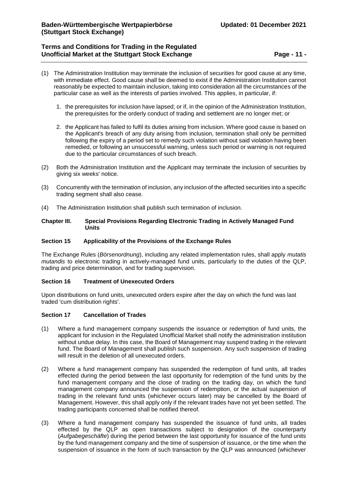# **Terms and Conditions for Trading in the Regulated Unofficial Market at the Stuttgart Stock Exchange <b>Page -** 11 -

- (1) The Administration Institution may terminate the inclusion of securities for good cause at any time, with immediate effect. Good cause shall be deemed to exist if the Administration Institution cannot reasonably be expected to maintain inclusion, taking into consideration all the circumstances of the particular case as well as the interests of parties involved. This applies, in particular, if:
	- 1. the prerequisites for inclusion have lapsed; or if, in the opinion of the Administration Institution, the prerequisites for the orderly conduct of trading and settlement are no longer met; or
	- 2. the Applicant has failed to fulfil its duties arising from inclusion. Where good cause is based on the Applicant's breach of any duty arising from inclusion, termination shall only be permitted following the expiry of a period set to remedy such violation without said violation having been remedied, or following an unsuccessful warning, unless such period or warning is not required due to the particular circumstances of such breach.
- (2) Both the Administration Institution and the Applicant may terminate the inclusion of securities by giving six weeks' notice.
- (3) Concurrently with the termination of inclusion, any inclusion of the affected securities into a specific trading segment shall also cease.
- (4) The Administration Institution shall publish such termination of inclusion.

### <span id="page-10-0"></span>**Chapter III. Special Provisions Regarding Electronic Trading in Actively Managed Fund Units**

### <span id="page-10-1"></span>**Section 15 Applicability of the Provisions of the Exchange Rules**

The Exchange Rules (*Börsenordnung*), including any related implementation rules, shall apply *mutatis mutandis* to electronic trading in actively-managed fund units, particularly to the duties of the QLP, trading and price determination, and for trading supervision.

### <span id="page-10-2"></span>**Section 16 Treatment of Unexecuted Orders**

Upon distributions on fund units, unexecuted orders expire after the day on which the fund was last traded 'cum distribution rights'.

### <span id="page-10-3"></span>**Section 17 Cancellation of Trades**

- (1) Where a fund management company suspends the issuance or redemption of fund units, the applicant for inclusion in the Regulated Unofficial Market shall notify the administration institution without undue delay. In this case, the Board of Management may suspend trading in the relevant fund. The Board of Management shall publish such suspension. Any such suspension of trading will result in the deletion of all unexecuted orders.
- (2) Where a fund management company has suspended the redemption of fund units, all trades effected during the period between the last opportunity for redemption of the fund units by the fund management company and the close of trading on the trading day, on which the fund management company announced the suspension of redemption, or the actual suspension of trading in the relevant fund units (whichever occurs later) may be cancelled by the Board of Management. However, this shall apply only if the relevant trades have not yet been settled. The trading participants concerned shall be notified thereof.
- (3) Where a fund management company has suspended the issuance of fund units, all trades effected by the QLP as open transactions subject to designation of the counterparty (*Aufgabegeschäfte*) during the period between the last opportunity for issuance of the fund units by the fund management company and the time of suspension of issuance, or the time when the suspension of issuance in the form of such transaction by the QLP was announced (whichever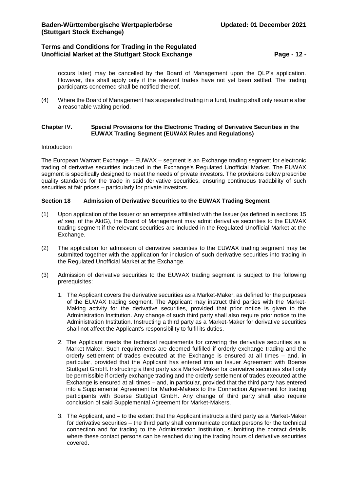# **Terms and Conditions for Trading in the Regulated Unofficial Market at the Stuttgart Stock Exchange <b>Page -** 12 -

occurs later) may be cancelled by the Board of Management upon the QLP's application. However, this shall apply only if the relevant trades have not yet been settled. The trading participants concerned shall be notified thereof.

(4) Where the Board of Management has suspended trading in a fund, trading shall only resume after a reasonable waiting period.

## <span id="page-11-0"></span>**Chapter IV. Special Provisions for the Electronic Trading of Derivative Securities in the EUWAX Trading Segment (EUWAX Rules and Regulations)**

### Introduction

The European Warrant Exchange – EUWAX – segment is an Exchange trading segment for electronic trading of derivative securities included in the Exchange's Regulated Unofficial Market. The EUWAX segment is specifically designed to meet the needs of private investors. The provisions below prescribe quality standards for the trade in said derivative securities, ensuring continuous tradability of such securities at fair prices – particularly for private investors.

### <span id="page-11-1"></span>**Section 18 Admission of Derivative Securities to the EUWAX Trading Segment**

- (1) Upon application of the Issuer or an enterprise affiliated with the Issuer (as defined in sections 15 *et seq*. of the AktG), the Board of Management may admit derivative securities to the EUWAX trading segment if the relevant securities are included in the Regulated Unofficial Market at the Exchange.
- (2) The application for admission of derivative securities to the EUWAX trading segment may be submitted together with the application for inclusion of such derivative securities into trading in the Regulated Unofficial Market at the Exchange.
- (3) Admission of derivative securities to the EUWAX trading segment is subject to the following prerequisites:
	- 1. The Applicant covers the derivative securities as a Market-Maker, as defined for the purposes of the EUWAX trading segment. The Applicant may instruct third parties with the Market-Making activity for the derivative securities, provided that prior notice is given to the Administration Institution. Any change of such third party shall also require prior notice to the Administration Institution. Instructing a third party as a Market-Maker for derivative securities shall not affect the Applicant's responsibility to fulfil its duties.
	- 2. The Applicant meets the technical requirements for covering the derivative securities as a Market-Maker. Such requirements are deemed fulfilled if orderly exchange trading and the orderly settlement of trades executed at the Exchange is ensured at all times – and, in particular, provided that the Applicant has entered into an Issuer Agreement with Boerse Stuttgart GmbH. Instructing a third party as a Market-Maker for derivative securities shall only be permissible if orderly exchange trading and the orderly settlement of trades executed at the Exchange is ensured at all times – and, in particular, provided that the third party has entered into a Supplemental Agreement for Market-Makers to the Connection Agreement for trading participants with Boerse Stuttgart GmbH. Any change of third party shall also require conclusion of said Supplemental Agreement for Market-Makers.
	- 3. The Applicant, and to the extent that the Applicant instructs a third party as a Market-Maker for derivative securities – the third party shall communicate contact persons for the technical connection and for trading to the Administration Institution, submitting the contact details where these contact persons can be reached during the trading hours of derivative securities covered.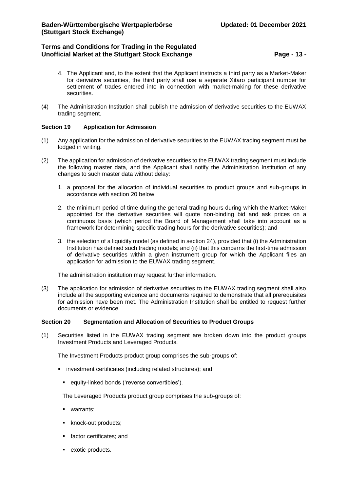# **Terms and Conditions for Trading in the Regulated Unofficial Market at the Stuttgart Stock Exchange <b>Page -** 13 -

- 4. The Applicant and, to the extent that the Applicant instructs a third party as a Market-Maker for derivative securities, the third party shall use a separate Xitaro participant number for settlement of trades entered into in connection with market-making for these derivative securities.
- (4) The Administration Institution shall publish the admission of derivative securities to the EUWAX trading segment.

## <span id="page-12-0"></span>**Section 19 Application for Admission**

- (1) Any application for the admission of derivative securities to the EUWAX trading segment must be lodged in writing.
- (2) The application for admission of derivative securities to the EUWAX trading segment must include the following master data, and the Applicant shall notify the Administration Institution of any changes to such master data without delay:
	- 1. a proposal for the allocation of individual securities to product groups and sub-groups in accordance with section 20 below;
	- 2. the minimum period of time during the general trading hours during which the Market-Maker appointed for the derivative securities will quote non-binding bid and ask prices on a continuous basis (which period the Board of Management shall take into account as a framework for determining specific trading hours for the derivative securities); and
	- 3. the selection of a liquidity model (as defined in section 24), provided that (i) the Administration Institution has defined such trading models; and (ii) that this concerns the first-time admission of derivative securities within a given instrument group for which the Applicant files an application for admission to the EUWAX trading segment.

The administration institution may request further information.

(3) The application for admission of derivative securities to the EUWAX trading segment shall also include all the supporting evidence and documents required to demonstrate that all prerequisites for admission have been met. The Administration Institution shall be entitled to request further documents or evidence.

### <span id="page-12-1"></span>**Section 20 Segmentation and Allocation of Securities to Product Groups**

(1) Securities listed in the EUWAX trading segment are broken down into the product groups Investment Products and Leveraged Products.

The Investment Products product group comprises the sub-groups of:

- **EXEDENT INVESTMENT CERTIFICATES** (including related structures); and
	- equity-linked bonds ('reverse convertibles').

The Leveraged Products product group comprises the sub-groups of:

- **u** warrants;
- knock-out products;
- **factor certificates; and**
- **•** exotic products.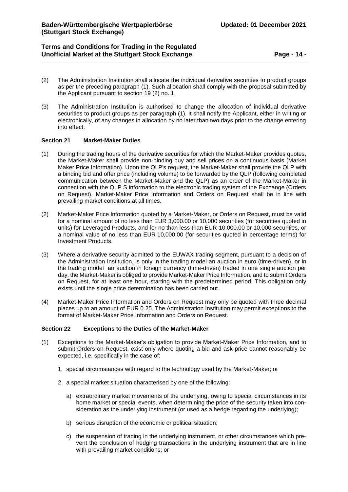# **Terms and Conditions for Trading in the Regulated Unofficial Market at the Stuttgart Stock Exchange <b>Page -** 14 -

- (2) The Administration Institution shall allocate the individual derivative securities to product groups as per the preceding paragraph (1). Such allocation shall comply with the proposal submitted by the Applicant pursuant to section 19 (2) no. 1.
- (3) The Administration Institution is authorised to change the allocation of individual derivative securities to product groups as per paragraph (1). It shall notify the Applicant, either in writing or electronically, of any changes in allocation by no later than two days prior to the change entering into effect.

### <span id="page-13-0"></span>**Section 21 Market-Maker Duties**

- (1) During the trading hours of the derivative securities for which the Market-Maker provides quotes, the Market-Maker shall provide non-binding buy and sell prices on a continuous basis (Market Maker Price Information). Upon the QLP's request, the Market-Maker shall provide the QLP with a binding bid and offer price (including volume) to be forwarded by the QLP (following completed communication between the Market-Maker and the QLP) as an order of the Market-Maker in connection with the QLP S information to the electronic trading system of the Exchange (Orders on Request). Market-Maker Price Information and Orders on Request shall be in line with prevailing market conditions at all times.
- (2) Market-Maker Price Information quoted by a Market-Maker, or Orders on Request, must be valid for a nominal amount of no less than EUR 3,000.00 or 10,000 securities (for securities quoted in units) for Leveraged Products, and for no than less than EUR 10,000.00 or 10,000 securities, or a nominal value of no less than EUR 10,000.00 (for securities quoted in percentage terms) for Investment Products.
- (3) Where a derivative security admitted to the EUWAX trading segment, pursuant to a decision of the Administration Institution, is only in the trading model an auction in euro (time-driven), or in the trading model an auction in foreign currency (time-driven) traded in one single auction per day, the Market-Maker is obliged to provide Market-Maker Price Information, and to submit Orders on Request, for at least one hour, starting with the predetermined period. This obligation only exists until the single price determination has been carried out.
- (4) Market-Maker Price Information and Orders on Request may only be quoted with three decimal places up to an amount of EUR 0.25. The Administration Institution may permit exceptions to the format of Market-Maker Price Information and Orders on Request.

### <span id="page-13-1"></span>**Section 22 Exceptions to the Duties of the Market-Maker**

- (1) Exceptions to the Market-Maker's obligation to provide Market-Maker Price Information, and to submit Orders on Request, exist only where quoting a bid and ask price cannot reasonably be expected, i.e. specifically in the case of:
	- 1. special circumstances with regard to the technology used by the Market-Maker; or
	- 2. a special market situation characterised by one of the following:
		- a) extraordinary market movements of the underlying, owing to special circumstances in its home market or special events, when determining the price of the security taken into consideration as the underlying instrument (or used as a hedge regarding the underlying);
		- b) serious disruption of the economic or political situation;
		- c) the suspension of trading in the underlying instrument, or other circumstances which prevent the conclusion of hedging transactions in the underlying instrument that are in line with prevailing market conditions; or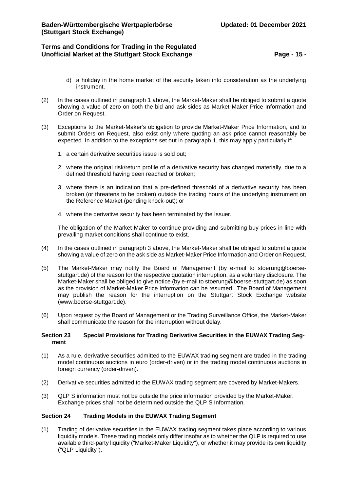# **Terms and Conditions for Trading in the Regulated Unofficial Market at the Stuttgart Stock Exchange <b>Page -** 15 -

- d) a holiday in the home market of the security taken into consideration as the underlying instrument.
- (2) In the cases outlined in paragraph 1 above, the Market-Maker shall be obliged to submit a quote showing a value of zero on both the bid and ask sides as Market-Maker Price Information and Order on Request.
- (3) Exceptions to the Market-Maker's obligation to provide Market-Maker Price Information, and to submit Orders on Request, also exist only where quoting an ask price cannot reasonably be expected. In addition to the exceptions set out in paragraph 1, this may apply particularly if:
	- 1. a certain derivative securities issue is sold out;
	- 2. where the original risk/return profile of a derivative security has changed materially, due to a defined threshold having been reached or broken;
	- 3. where there is an indication that a pre-defined threshold of a derivative security has been broken (or threatens to be broken) outside the trading hours of the underlying instrument on the Reference Market (pending knock-out); or
	- 4. where the derivative security has been terminated by the Issuer.

The obligation of the Market-Maker to continue providing and submitting buy prices in line with prevailing market conditions shall continue to exist.

- (4) In the cases outlined in paragraph 3 above, the Market-Maker shall be obliged to submit a quote showing a value of zero on the ask side as Market-Maker Price Information and Order on Request.
- (5) The Market-Maker may notify the Board of Management (by e-mail to [stoerung@boerse](mailto:stoerung@boerse-stuttgart.de)[stuttgart.de\)](mailto:stoerung@boerse-stuttgart.de) of the reason for the respective quotation interruption, as a voluntary disclosure. The Market-Maker shall be obliged to give notice (by e-mail to [stoerung@boerse-stuttgart.de\)](mailto:stoerung@boerse-stuttgart.de) as soon as the provision of Market-Maker Price Information can be resumed. The Board of Management may publish the reason for the interruption on the Stuttgart Stock Exchange website (www.boerse-stuttgart.de).
- (6) Upon request by the Board of Management or the Trading Surveillance Office, the Market-Maker shall communicate the reason for the interruption without delay.

### <span id="page-14-0"></span>**Section 23 Special Provisions for Trading Derivative Securities in the EUWAX Trading Segment**

- (1) As a rule, derivative securities admitted to the EUWAX trading segment are traded in the trading model continuous auctions in euro (order-driven) or in the trading model continuous auctions in foreign currency (order-driven).
- (2) Derivative securities admitted to the EUWAX trading segment are covered by Market-Makers.
- (3) QLP S information must not be outside the price information provided by the Market-Maker. Exchange prices shall not be determined outside the QLP S Information.

### <span id="page-14-1"></span>**Section 24 Trading Models in the EUWAX Trading Segment**

(1) Trading of derivative securities in the EUWAX trading segment takes place according to various liquidity models. These trading models only differ insofar as to whether the QLP is required to use available third-party liquidity ("Market-Maker Liquidity"), or whether it may provide its own liquidity ("QLP Liquidity").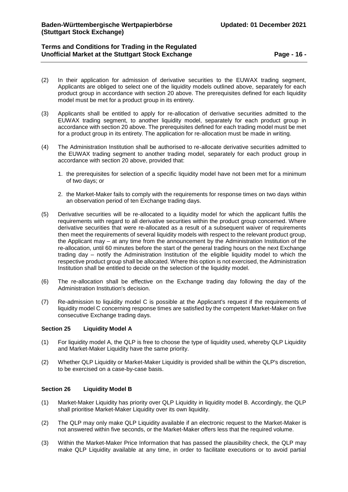# **Terms and Conditions for Trading in the Regulated Unofficial Market at the Stuttgart Stock Exchange <b>Page -** 16 -

- (2) In their application for admission of derivative securities to the EUWAX trading segment, Applicants are obliged to select one of the liquidity models outlined above, separately for each product group in accordance with section 20 above. The prerequisites defined for each liquidity model must be met for a product group in its entirety.
- (3) Applicants shall be entitled to apply for re-allocation of derivative securities admitted to the EUWAX trading segment, to another liquidity model, separately for each product group in accordance with section 20 above. The prerequisites defined for each trading model must be met for a product group in its entirety. The application for re-allocation must be made in writing.
- (4) The Administration Institution shall be authorised to re-allocate derivative securities admitted to the EUWAX trading segment to another trading model, separately for each product group in accordance with section 20 above, provided that:
	- 1. the prerequisites for selection of a specific liquidity model have not been met for a minimum of two days; or
	- 2. the Market-Maker fails to comply with the requirements for response times on two days within an observation period of ten Exchange trading days.
- (5) Derivative securities will be re-allocated to a liquidity model for which the applicant fulfils the requirements with regard to all derivative securities within the product group concerned. Where derivative securities that were re-allocated as a result of a subsequent waiver of requirements then meet the requirements of several liquidity models with respect to the relevant product group, the Applicant may – at any time from the announcement by the Administration Institution of the re-allocation, until 60 minutes before the start of the general trading hours on the next Exchange trading day – notify the Administration Institution of the eligible liquidity model to which the respective product group shall be allocated. Where this option is not exercised, the Administration Institution shall be entitled to decide on the selection of the liquidity model.
- (6) The re-allocation shall be effective on the Exchange trading day following the day of the Administration Institution's decision.
- (7) Re-admission to liquidity model C is possible at the Applicant's request if the requirements of liquidity model C concerning response times are satisfied by the competent Market-Maker on five consecutive Exchange trading days.

### <span id="page-15-0"></span>**Section 25 Liquidity Model A**

- (1) For liquidity model A, the QLP is free to choose the type of liquidity used, whereby QLP Liquidity and Market-Maker Liquidity have the same priority.
- (2) Whether QLP Liquidity or Market-Maker Liquidity is provided shall be within the QLP's discretion, to be exercised on a case-by-case basis.

## <span id="page-15-1"></span>**Section 26 Liquidity Model B**

- (1) Market-Maker Liquidity has priority over QLP Liquidity in liquidity model B. Accordingly, the QLP shall prioritise Market-Maker Liquidity over its own liquidity.
- (2) The QLP may only make QLP Liquidity available if an electronic request to the Market-Maker is not answered within five seconds, or the Market-Maker offers less that the required volume.
- (3) Within the Market-Maker Price Information that has passed the plausibility check, the QLP may make QLP Liquidity available at any time, in order to facilitate executions or to avoid partial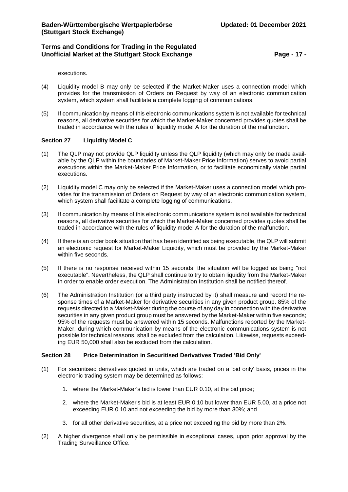executions.

- (4) Liquidity model B may only be selected if the Market-Maker uses a connection model which provides for the transmission of Orders on Request by way of an electronic communication system, which system shall facilitate a complete logging of communications.
- (5) If communication by means of this electronic communications system is not available for technical reasons, all derivative securities for which the Market-Maker concerned provides quotes shall be traded in accordance with the rules of liquidity model A for the duration of the malfunction.

### <span id="page-16-0"></span>**Section 27 Liquidity Model C**

- (1) The QLP may not provide QLP liquidity unless the QLP liquidity (which may only be made available by the QLP within the boundaries of Market-Maker Price Information) serves to avoid partial executions within the Market-Maker Price Information, or to facilitate economically viable partial executions.
- (2) Liquidity model C may only be selected if the Market-Maker uses a connection model which provides for the transmission of Orders on Request by way of an electronic communication system, which system shall facilitate a complete logging of communications.
- (3) If communication by means of this electronic communications system is not available for technical reasons, all derivative securities for which the Market-Maker concerned provides quotes shall be traded in accordance with the rules of liquidity model A for the duration of the malfunction.
- (4) If there is an order book situation that has been identified as being executable, the QLP will submit an electronic request for Market-Maker Liquidity, which must be provided by the Market-Maker within five seconds.
- (5) If there is no response received within 15 seconds, the situation will be logged as being "not executable". Nevertheless, the QLP shall continue to try to obtain liquidity from the Market-Maker in order to enable order execution. The Administration Institution shall be notified thereof.
- (6) The Administration Institution (or a third party instructed by it) shall measure and record the response times of a Market-Maker for derivative securities in any given product group. 85% of the requests directed to a Market-Maker during the course of any day in connection with the derivative securities in any given product group must be answered by the Market-Maker within five seconds; 95% of the requests must be answered within 15 seconds. Malfunctions reported by the Market-Maker, during which communication by means of the electronic communications system is not possible for technical reasons, shall be excluded from the calculation. Likewise, requests exceeding EUR 50,000 shall also be excluded from the calculation.

## <span id="page-16-1"></span>**Section 28 Price Determination in Securitised Derivatives Traded 'Bid Only'**

- (1) For securitised derivatives quoted in units, which are traded on a 'bid only' basis, prices in the electronic trading system may be determined as follows:
	- 1. where the Market-Maker's bid is lower than EUR 0.10, at the bid price;
	- 2. where the Market-Maker's bid is at least EUR 0.10 but lower than EUR 5.00, at a price not exceeding EUR 0.10 and not exceeding the bid by more than 30%; and
	- 3. for all other derivative securities, at a price not exceeding the bid by more than 2%.
- (2) A higher divergence shall only be permissible in exceptional cases, upon prior approval by the Trading Surveillance Office.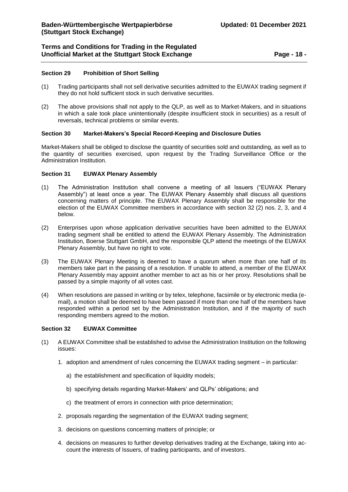# **Terms and Conditions for Trading in the Regulated Unofficial Market at the Stuttgart Stock Exchange <b>Page -** 18 -

## <span id="page-17-0"></span>**Section 29 Prohibition of Short Selling**

- (1) Trading participants shall not sell derivative securities admitted to the EUWAX trading segment if they do not hold sufficient stock in such derivative securities.
- (2) The above provisions shall not apply to the QLP, as well as to Market-Makers, and in situations in which a sale took place unintentionally (despite insufficient stock in securities) as a result of reversals, technical problems or similar events.

### <span id="page-17-1"></span>**Section 30 Market-Makers's Special Record-Keeping and Disclosure Duties**

Market-Makers shall be obliged to disclose the quantity of securities sold and outstanding, as well as to the quantity of securities exercised, upon request by the Trading Surveillance Office or the Administration Institution.

### <span id="page-17-2"></span>**Section 31 EUWAX Plenary Assembly**

- (1) The Administration Institution shall convene a meeting of all Issuers ("EUWAX Plenary Assembly") at least once a year. The EUWAX Plenary Assembly shall discuss all questions concerning matters of principle. The EUWAX Plenary Assembly shall be responsible for the election of the EUWAX Committee members in accordance with section 32 (2) nos. 2, 3, and 4 below.
- (2) Enterprises upon whose application derivative securities have been admitted to the EUWAX trading segment shall be entitled to attend the EUWAX Plenary Assembly. The Administration Institution, Boerse Stuttgart GmbH, and the responsible QLP attend the meetings of the EUWAX Plenary Assembly, but have no right to vote.
- (3) The EUWAX Plenary Meeting is deemed to have a quorum when more than one half of its members take part in the passing of a resolution. If unable to attend, a member of the EUWAX Plenary Assembly may appoint another member to act as his or her proxy. Resolutions shall be passed by a simple majority of all votes cast.
- (4) When resolutions are passed in writing or by telex, telephone, facsimile or by electronic media (email), a motion shall be deemed to have been passed if more than one half of the members have responded within a period set by the Administration Institution, and if the majority of such responding members agreed to the motion.

### <span id="page-17-3"></span>**Section 32 EUWAX Committee**

- (1) A EUWAX Committee shall be established to advise the Administration Institution on the following issues:
	- 1. adoption and amendment of rules concerning the EUWAX trading segment in particular:
		- a) the establishment and specification of liquidity models;
		- b) specifying details regarding Market-Makers' and QLPs' obligations; and
		- c) the treatment of errors in connection with price determination;
	- 2. proposals regarding the segmentation of the EUWAX trading segment;
	- 3. decisions on questions concerning matters of principle; or
	- 4. decisions on measures to further develop derivatives trading at the Exchange, taking into account the interests of Issuers, of trading participants, and of investors.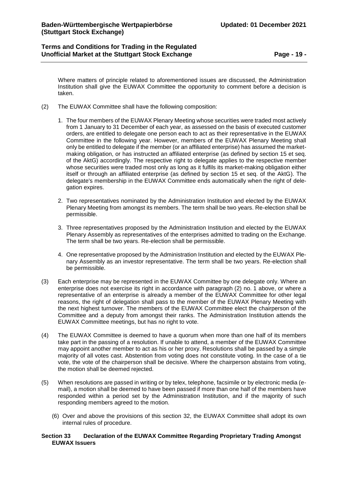Where matters of principle related to aforementioned issues are discussed, the Administration Institution shall give the EUWAX Committee the opportunity to comment before a decision is taken.

- (2) The EUWAX Committee shall have the following composition:
	- 1. The four members of the EUWAX Plenary Meeting whose securities were traded most actively from 1 January to 31 December of each year, as assessed on the basis of executed customer orders, are entitled to delegate one person each to act as their representative in the EUWAX Committee in the following year. However, members of the EUWAX Plenary Meeting shall only be entitled to delegate if the member (or an affiliated enterprise) has assumed the marketmaking obligation, or has instructed an affiliated enterprise (as defined by section 15 et seq. of the AktG) accordingly. The respective right to delegate applies to the respective member whose securities were traded most only as long as it fulfils its market-making obligation either itself or through an affiliated enterprise (as defined by section 15 et seq. of the AktG). The delegate's membership in the EUWAX Committee ends automatically when the right of delegation expires.
	- 2. Two representatives nominated by the Administration Institution and elected by the EUWAX Plenary Meeting from amongst its members. The term shall be two years. Re-election shall be permissible.
	- 3. Three representatives proposed by the Administration Institution and elected by the EUWAX Plenary Assembly as representatives of the enterprises admitted to trading on the Exchange. The term shall be two years. Re-election shall be permissible.
	- 4. One representative proposed by the Administration Institution and elected by the EUWAX Plenary Assembly as an investor representative. The term shall be two years. Re-election shall be permissible.
- (3) Each enterprise may be represented in the EUWAX Committee by one delegate only. Where an enterprise does not exercise its right in accordance with paragraph (2) no. 1 above, or where a representative of an enterprise is already a member of the EUWAX Committee for other legal reasons, the right of delegation shall pass to the member of the EUWAX Plenary Meeting with the next highest turnover. The members of the EUWAX Committee elect the chairperson of the Committee and a deputy from amongst their ranks. The Administration Institution attends the EUWAX Committee meetings, but has no right to vote.
- (4) The EUWAX Committee is deemed to have a quorum when more than one half of its members take part in the passing of a resolution. If unable to attend, a member of the EUWAX Committee may appoint another member to act as his or her proxy. Resolutions shall be passed by a simple majority of all votes cast. Abstention from voting does not constitute voting. In the case of a tie vote, the vote of the chairperson shall be decisive. Where the chairperson abstains from voting, the motion shall be deemed rejected.
- (5) When resolutions are passed in writing or by telex, telephone, facsimile or by electronic media (email), a motion shall be deemed to have been passed if more than one half of the members have responded within a period set by the Administration Institution, and if the majority of such responding members agreed to the motion.
	- (6) Over and above the provisions of this section 32, the EUWAX Committee shall adopt its own internal rules of procedure.

### <span id="page-18-0"></span>**Section 33 Declaration of the EUWAX Committee Regarding Proprietary Trading Amongst EUWAX Issuers**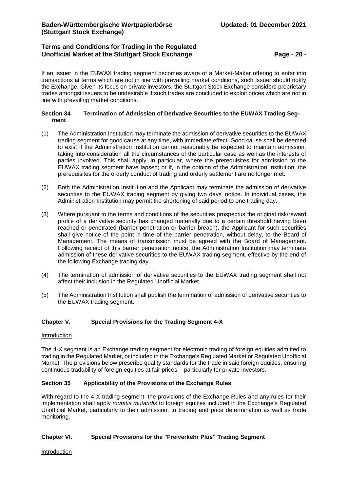# **Terms and Conditions for Trading in the Regulated Unofficial Market at the Stuttgart Stock Exchange <b>Page -** 20 -

If an Issuer in the EUWAX trading segment becomes aware of a Market-Maker offering to enter into transactions at terms which are not in line with prevailing market conditions, such Issuer should notify the Exchange. Given its focus on private investors, the Stuttgart Stock Exchange considers proprietary trades amongst Issuers to be undesirable if such trades are concluded to exploit prices which are not in line with prevailing market conditions.

### <span id="page-19-0"></span>**Section 34 Termination of Admission of Derivative Securities to the EUWAX Trading Segment**

- (1) The Administration Institution may terminate the admission of derivative securities to the EUWAX trading segment for good cause at any time, with immediate effect. Good cause shall be deemed to exist if the Administration Institution cannot reasonably be expected to maintain admission, taking into consideration all the circumstances of the particular case as well as the interests of parties involved. This shall apply, in particular, where the prerequisites for admission to the EUWAX trading segment have lapsed; or if, in the opinion of the Administration Institution, the prerequisites for the orderly conduct of trading and orderly settlement are no longer met.
- (2) Both the Administration Institution and the Applicant may terminate the admission of derivative securities to the EUWAX trading segment by giving two days' notice. In individual cases, the Administration Institution may permit the shortening of said period to one trading day.
- (3) Where pursuant to the terms and conditions of the securities prospectus the original risk/reward profile of a derivative security has changed materially due to a certain threshold having been reached or penetrated (barrier penetration or barrier breach), the Applicant for such securities shall give notice of the point in time of the barrier penetration, without delay, to the Board of Management. The means of transmission must be agreed with the Board of Management. Following receipt of this barrier penetration notice, the Administration Institution may terminate admission of these derivative securities to the EUWAX trading segment, effective by the end of the following Exchange trading day.
- (4) The termination of admission of derivative securities to the EUWAX trading segment shall not affect their inclusion in the Regulated Unofficial Market.
- (5) The Administration Institution shall publish the termination of admission of derivative securities to the EUWAX trading segment.

## <span id="page-19-1"></span>**Chapter V. Special Provisions for the Trading Segment 4-X**

### Introduction

The 4-X segment is an Exchange trading segment for electronic trading of foreign equities admitted to trading in the Regulated Market, or included in the Exchange's Regulated Market or Regulated Unofficial Market. The provisions below prescribe quality standards for the trade in said foreign equities, ensuring continuous tradability of foreign equities at fair prices – particularly for private investors.

## <span id="page-19-2"></span>**Section 35 Applicability of the Provisions of the Exchange Rules**

With regard to the 4-X trading segment, the provisions of the Exchange Rules and any rules for their implementation shall apply *mutatis mutandis* to foreign equities included in the Exchange's Regulated Unofficial Market, particularly to their admission, to trading and price determination as well as trade monitoring.

## <span id="page-19-3"></span>**Chapter VI. Special Provisions for the "Freiverkehr Plus" Trading Segment**

Introduction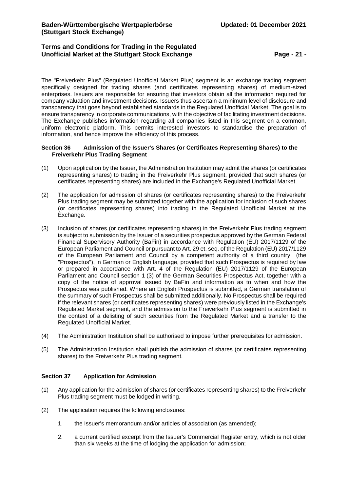# **Terms and Conditions for Trading in the Regulated Unofficial Market at the Stuttgart Stock Exchange <b>Page -** 21 -

The "Freiverkehr Plus" (Regulated Unofficial Market Plus) segment is an exchange trading segment specifically designed for trading shares (and certificates representing shares) of medium-sized enterprises. Issuers are responsible for ensuring that investors obtain all the information required for company valuation and investment decisions. Issuers thus ascertain a minimum level of disclosure and transparency that goes beyond established standards in the Regulated Unofficial Market. The goal is to ensure transparency in corporate communications, with the objective of facilitating investment decisions. The Exchange publishes information regarding all companies listed in this segment on a common, uniform electronic platform. This permits interested investors to standardise the preparation of information, and hence improve the efficiency of this process.

### <span id="page-20-0"></span>**Section 36 Admission of the Issuer's Shares (or Certificates Representing Shares) to the Freiverkehr Plus Trading Segment**

- (1) Upon application by the Issuer, the Administration Institution may admit the shares (or certificates representing shares) to trading in the Freiverkehr Plus segment, provided that such shares (or certificates representing shares) are included in the Exchange's Regulated Unofficial Market.
- (2) The application for admission of shares (or certificates representing shares) to the Freiverkehr Plus trading segment may be submitted together with the application for inclusion of such shares (or certificates representing shares) into trading in the Regulated Unofficial Market at the Exchange.
- (3) Inclusion of shares (or certificates representing shares) in the Freiverkehr Plus trading segment is subject to submission by the Issuer of a securities prospectus approved by the German Federal Financial Supervisory Authority (BaFin) in accordance with Regulation (EU) 2017/1129 of the European Parliament and Council or pursuant to Art. 29 et. seq. of the Regulation (EU) 2017/1129 of the European Parliament and Council by a competent authority of a third country (the "Prospectus"), in German or English language, provided that such Prospectus is required by law or prepared in accordance with Art. 4 of the Regulation (EU) 2017/1129 of the European Parliament and Council section 1 (3) of the German Securities Prospectus Act, together with a copy of the notice of approval issued by BaFin and information as to when and how the Prospectus was published. Where an English Prospectus is submitted, a German translation of the summary of such Prospectus shall be submitted additionally. No Prospectus shall be required if the relevant shares (or certificates representing shares) were previously listed in the Exchange's Regulated Market segment, and the admission to the Freiverkehr Plus segment is submitted in the context of a delisting of such securities from the Regulated Market and a transfer to the Regulated Unofficial Market.
- (4) The Administration Institution shall be authorised to impose further prerequisites for admission.
- (5) The Administration Institution shall publish the admission of shares (or certificates representing shares) to the Freiverkehr Plus trading segment.

## <span id="page-20-1"></span>**Section 37 Application for Admission**

- (1) Any application for the admission of shares (or certificates representing shares) to the Freiverkehr Plus trading segment must be lodged in writing.
- (2) The application requires the following enclosures:
	- 1. the Issuer's memorandum and/or articles of association (as amended);
	- 2. a current certified excerpt from the Issuer's Commercial Register entry, which is not older than six weeks at the time of lodging the application for admission;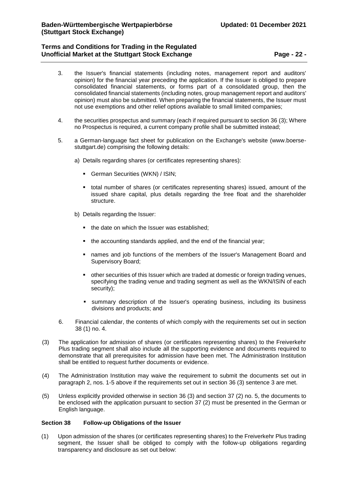# **Terms and Conditions for Trading in the Regulated Unofficial Market at the Stuttgart Stock Exchange <b>Page -** 22 -

- 3. the Issuer's financial statements (including notes, management report and auditors' opinion) for the financial year preceding the application. If the Issuer is obliged to prepare consolidated financial statements, or forms part of a consolidated group, then the consolidated financial statements (including notes, group management report and auditors' opinion) must also be submitted. When preparing the financial statements, the Issuer must not use exemptions and other relief options available to small limited companies;
- 4. the securities prospectus and summary (each if required pursuant to section 36 (3); Where no Prospectus is required, a current company profile shall be submitted instead;
- 5. a German-language fact sheet for publication on the Exchange's website (www.boersestuttgart.de) comprising the following details:
	- a) Details regarding shares (or certificates representing shares):
		- German Securities (WKN) / ISIN;
		- total number of shares (or certificates representing shares) issued, amount of the issued share capital, plus details regarding the free float and the shareholder structure.
	- b) Details regarding the Issuer:
		- the date on which the Issuer was established:
		- the accounting standards applied, and the end of the financial year;
		- names and job functions of the members of the Issuer's Management Board and Supervisory Board;
		- other securities of this Issuer which are traded at domestic or foreign trading venues, specifying the trading venue and trading segment as well as the WKN/ISIN of each security);
		- summary description of the Issuer's operating business, including its business divisions and products; and
- 6. Financial calendar, the contents of which comply with the requirements set out in section 38 (1) no. 4.
- (3) The application for admission of shares (or certificates representing shares) to the Freiverkehr Plus trading segment shall also include all the supporting evidence and documents required to demonstrate that all prerequisites for admission have been met. The Administration Institution shall be entitled to request further documents or evidence.
- (4) The Administration Institution may waive the requirement to submit the documents set out in paragraph 2, nos. 1-5 above if the requirements set out in section 36 (3) sentence 3 are met.
- (5) Unless explicitly provided otherwise in section 36 (3) and section 37 (2) no. 5, the documents to be enclosed with the application pursuant to section 37 (2) must be presented in the German or English language.

### <span id="page-21-0"></span>**Section 38 Follow-up Obligations of the Issuer**

(1) Upon admission of the shares (or certificates representing shares) to the Freiverkehr Plus trading segment, the Issuer shall be obliged to comply with the follow-up obligations regarding transparency and disclosure as set out below: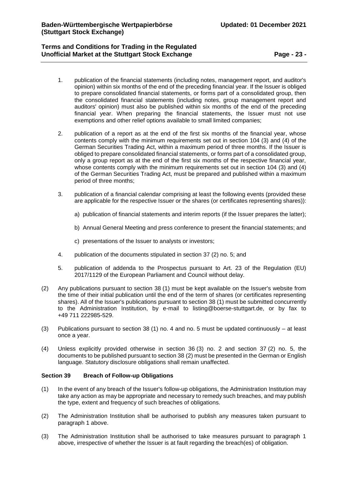# **Terms and Conditions for Trading in the Regulated Unofficial Market at the Stuttgart Stock Exchange <b>Page -** 23 -

- 1. publication of the financial statements (including notes, management report, and auditor's opinion) within six months of the end of the preceding financial year. If the Issuer is obliged to prepare consolidated financial statements, or forms part of a consolidated group, then the consolidated financial statements (including notes, group management report and auditors' opinion) must also be published within six months of the end of the preceding financial year. When preparing the financial statements, the Issuer must not use exemptions and other relief options available to small limited companies;
- 2. publication of a report as at the end of the first six months of the financial year, whose contents comply with the minimum requirements set out in section 104 (3) and (4) of the German Securities Trading Act, within a maximum period of three months. If the Issuer is obliged to prepare consolidated financial statements, or forms part of a consolidated group, only a group report as at the end of the first six months of the respective financial year, whose contents comply with the minimum requirements set out in section 104 (3) and (4) of the German Securities Trading Act, must be prepared and published within a maximum period of three months;
- 3. publication of a financial calendar comprising at least the following events (provided these are applicable for the respective Issuer or the shares (or certificates representing shares)):
	- a) publication of financial statements and interim reports (if the Issuer prepares the latter);
	- b) Annual General Meeting and press conference to present the financial statements; and
	- c) presentations of the Issuer to analysts or investors;
- 4. publication of the documents stipulated in section 37 (2) no. 5; and
- 5. publication of addenda to the Prospectus pursuant to Art. 23 of the Regulation (EU) 2017/1129 of the European Parliament and Council without delay.
- (2) Any publications pursuant to section 38 (1) must be kept available on the Issuer's website from the time of their initial publication until the end of the term of shares (or certificates representing shares). All of the Issuer's publications pursuant to section 38 (1) must be submitted concurrently to the Administration Institution, by e-mail to listing@boerse-stuttgart.de, or by fax to +49 711 222985-529.
- (3) Publications pursuant to section 38 (1) no. 4 and no. 5 must be updated continuously at least once a year.
- (4) Unless explicitly provided otherwise in section 36 (3) no. 2 and section 37 (2) no. 5, the documents to be published pursuant to section 38 (2) must be presented in the German or English language. Statutory disclosure obligations shall remain unaffected.

### <span id="page-22-0"></span>**Section 39 Breach of Follow-up Obligations**

- (1) In the event of any breach of the Issuer's follow-up obligations, the Administration Institution may take any action as may be appropriate and necessary to remedy such breaches, and may publish the type, extent and frequency of such breaches of obligations.
- (2) The Administration Institution shall be authorised to publish any measures taken pursuant to paragraph 1 above.
- (3) The Administration Institution shall be authorised to take measures pursuant to paragraph 1 above, irrespective of whether the Issuer is at fault regarding the breach(es) of obligation.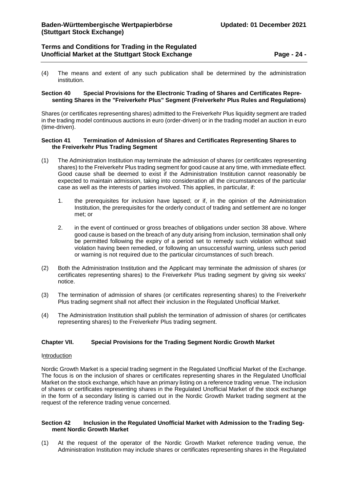(4) The means and extent of any such publication shall be determined by the administration institution.

#### <span id="page-23-0"></span>**Section 40 Special Provisions for the Electronic Trading of Shares and Certificates Representing Shares in the "Freiverkehr Plus" Segment (Freiverkehr Plus Rules and Regulations)**

Shares (or certificates representing shares) admitted to the Freiverkehr Plus liquidity segment are traded in the trading model continuous auctions in euro (order-driven) or in the trading model an auction in euro (time-driven).

### <span id="page-23-1"></span>**Section 41 Termination of Admission of Shares and Certificates Representing Shares to the Freiverkehr Plus Trading Segment**

- (1) The Administration Institution may terminate the admission of shares (or certificates representing shares) to the Freiverkehr Plus trading segment for good cause at any time, with immediate effect. Good cause shall be deemed to exist if the Administration Institution cannot reasonably be expected to maintain admission, taking into consideration all the circumstances of the particular case as well as the interests of parties involved. This applies, in particular, if:
	- 1. the prerequisites for inclusion have lapsed; or if, in the opinion of the Administration Institution, the prerequisites for the orderly conduct of trading and settlement are no longer met; or
	- 2. in the event of continued or gross breaches of obligations under section 38 above. Where good cause is based on the breach of any duty arising from inclusion, termination shall only be permitted following the expiry of a period set to remedy such violation without said violation having been remedied, or following an unsuccessful warning, unless such period or warning is not required due to the particular circumstances of such breach.
- (2) Both the Administration Institution and the Applicant may terminate the admission of shares (or certificates representing shares) to the Freiverkehr Plus trading segment by giving six weeks' notice.
- (3) The termination of admission of shares (or certificates representing shares) to the Freiverkehr Plus trading segment shall not affect their inclusion in the Regulated Unofficial Market.
- (4) The Administration Institution shall publish the termination of admission of shares (or certificates representing shares) to the Freiverkehr Plus trading segment.

## <span id="page-23-2"></span>**Chapter VII. Special Provisions for the Trading Segment Nordic Growth Market**

### Introduction

Nordic Growth Market is a special trading segment in the Regulated Unofficial Market of the Exchange. The focus is on the inclusion of shares or certificates representing shares in the Regulated Unofficial Market on the stock exchange, which have an primary listing on a reference trading venue. The inclusion of shares or certificates representing shares in the Regulated Unofficial Market of the stock exchange in the form of a secondary listing is carried out in the Nordic Growth Market trading segment at the request of the reference trading venue concerned.

### <span id="page-23-3"></span>**Section 42 Inclusion in the Regulated Unofficial Market with Admission to the Trading Segment Nordic Growth Market**

(1) At the request of the operator of the Nordic Growth Market reference trading venue, the Administration Institution may include shares or certificates representing shares in the Regulated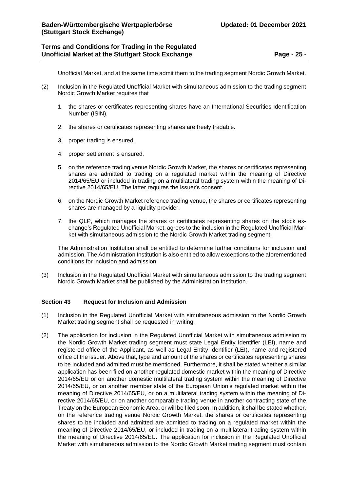# **Terms and Conditions for Trading in the Regulated Unofficial Market at the Stuttgart Stock Exchange <b>Page -** 25 -

Unofficial Market, and at the same time admit them to the trading segment Nordic Growth Market.

- (2) Inclusion in the Regulated Unofficial Market with simultaneous admission to the trading segment Nordic Growth Market requires that
	- 1. the shares or certificates representing shares have an International Securities Identification Number (ISIN).
	- 2. the shares or certificates representing shares are freely tradable.
	- 3. proper trading is ensured.
	- 4. proper settlement is ensured.
	- 5. on the reference trading venue Nordic Growth Market, the shares or certificates representing shares are admitted to trading on a regulated market within the meaning of Directive 2014/65/EU or included in trading on a multilateral trading system within the meaning of Directive 2014/65/EU. The latter requires the issuer's consent.
	- 6. on the Nordic Growth Market reference trading venue, the shares or certificates representing shares are managed by a liquidity provider.
	- 7. the QLP, which manages the shares or certificates representing shares on the stock exchange's Regulated Unofficial Market, agrees to the inclusion in the Regulated Unofficial Market with simultaneous admission to the Nordic Growth Market trading segment.

The Administration Institution shall be entitled to determine further conditions for inclusion and admission. The Administration Institution is also entitled to allow exceptions to the aforementioned conditions for inclusion and admission.

(3) Inclusion in the Regulated Unofficial Market with simultaneous admission to the trading segment Nordic Growth Market shall be published by the Administration Institution.

### <span id="page-24-0"></span>**Section 43 Request for Inclusion and Admission**

- (1) Inclusion in the Regulated Unofficial Market with simultaneous admission to the Nordic Growth Market trading segment shall be requested in writing.
- (2) The application for inclusion in the Regulated Unofficial Market with simultaneous admission to the Nordic Growth Market trading segment must state Legal Entity Identifier (LEI), name and registered office of the Applicant, as well as Legal Entity Identifier (LEI), name and registered office of the issuer. Above that, type and amount of the shares or certificates representing shares to be included and admitted must be mentioned. Furthermore, it shall be stated whether a similar application has been filed on another regulated domestic market within the meaning of Directive 2014/65/EU or on another domestic multilateral trading system within the meaning of Directive 2014/65/EU, or on another member state of the European Union's regulated market within the meaning of Directive 2014/65/EU, or on a multilateral trading system within the meaning of Directive 2014/65/EU, or on another comparable trading venue in another contracting state of the Treaty on the European Economic Area, or will be filed soon. In addition, it shall be stated whether, on the reference trading venue Nordic Growth Market, the shares or certificates representing shares to be included and admitted are admitted to trading on a regulated market within the meaning of Directive 2014/65/EU, or included in trading on a multilateral trading system within the meaning of Directive 2014/65/EU. The application for inclusion in the Regulated Unofficial Market with simultaneous admission to the Nordic Growth Market trading segment must contain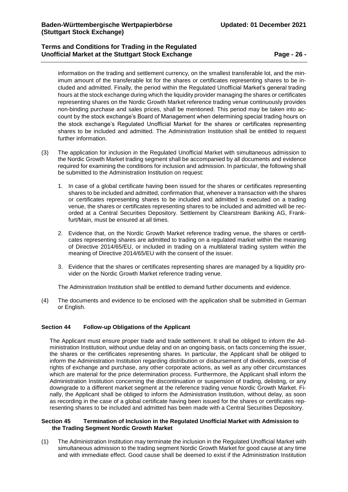# **Terms and Conditions for Trading in the Regulated Unofficial Market at the Stuttgart Stock Exchange <b>Page -** 26 -

information on the trading and settlement currency, on the smallest transferable lot, and the minimum amount of the transferable lot for the shares or certificates representing shares to be included and admitted. Finally, the period within the Regulated Unofficial Market's general trading hours at the stock exchange during which the liquidity provider managing the shares or certificates representing shares on the Nordic Growth Market reference trading venue continuously provides non-binding purchase and sales prices, shall be mentioned. This period may be taken into account by the stock exchange's Board of Management when determining special trading hours on the stock exchange's Regulated Unofficial Market for the shares or certificates representing shares to be included and admitted. The Administration Institution shall be entitled to request further information.

- (3) The application for inclusion in the Regulated Unofficial Market with simultaneous admission to the Nordic Growth Market trading segment shall be accompanied by all documents and evidence required for examining the conditions for inclusion and admission. In particular, the following shall be submitted to the Administration Institution on request:
	- 1. In case of a global certificate having been issued for the shares or certificates representing shares to be included and admitted, confirmation that, whenever a transaction with the shares or certificates representing shares to be included and admitted is executed on a trading venue, the shares or certificates representing shares to be included and admitted will be recorded at a Central Securities Depository. Settlement by Clearstream Banking AG, Frankfurt/Main, must be ensured at all times.
	- 2. Evidence that, on the Nordic Growth Market reference trading venue, the shares or certificates representing shares are admitted to trading on a regulated market within the meaning of Directive 2014/65/EU, or included in trading on a multilateral trading system within the meaning of Directive 2014/65/EU with the consent of the issuer.
	- 3. Evidence that the shares or certificates representing shares are managed by a liquidity provider on the Nordic Growth Market reference trading venue.

The Administration Institution shall be entitled to demand further documents and evidence.

(4) The documents and evidence to be enclosed with the application shall be submitted in German or English.

## <span id="page-25-0"></span>**Section 44 Follow-up Obligations of the Applicant**

The Applicant must ensure proper trade and trade settlement. It shall be obliged to inform the Administration Institution, without undue delay and on an ongoing basis, on facts concerning the issuer, the shares or the certificates representing shares. In particular, the Applicant shall be obliged to inform the Administration Institution regarding distribution or disbursement of dividends, exercise of rights of exchange and purchase, any other corporate actions, as well as any other circumstances which are material for the price determination process. Furthermore, the Applicant shall inform the Administration Institution concerning the discontinuation or suspension of trading, delisting, or any downgrade to a different market segment at the reference trading venue Nordic Growth Market. Finally, the Applicant shall be obliged to inform the Administration Institution, without delay, as soon as recording in the case of a global certificate having been issued for the shares or certificates representing shares to be included and admitted has been made with a Central Securities Depository.

### <span id="page-25-1"></span>**Section 45 Termination of Inclusion in the Regulated Unofficial Market with Admission to the Trading Segment Nordic Growth Market**

(1) The Administration Institution may terminate the inclusion in the Regulated Unofficial Market with simultaneous admission to the trading segment Nordic Growth Market for good cause at any time and with immediate effect. Good cause shall be deemed to exist if the Administration Institution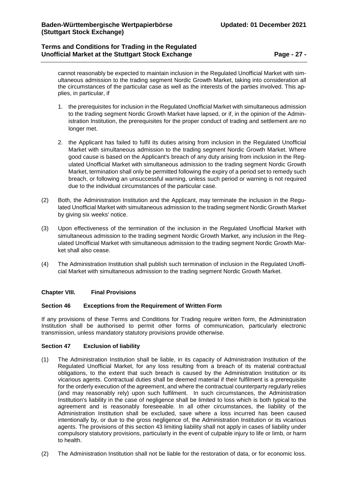# **Terms and Conditions for Trading in the Regulated Unofficial Market at the Stuttgart Stock Exchange <b>Page -** 27 -

cannot reasonably be expected to maintain inclusion in the Regulated Unofficial Market with simultaneous admission to the trading segment Nordic Growth Market, taking into consideration all the circumstances of the particular case as well as the interests of the parties involved. This applies, in particular, if

- 1. the prerequisites for inclusion in the Regulated Unofficial Market with simultaneous admission to the trading segment Nordic Growth Market have lapsed, or if, in the opinion of the Administration Institution, the prerequisites for the proper conduct of trading and settlement are no longer met.
- 2. the Applicant has failed to fulfil its duties arising from inclusion in the Regulated Unofficial Market with simultaneous admission to the trading segment Nordic Growth Market. Where good cause is based on the Applicant's breach of any duty arising from inclusion in the Regulated Unofficial Market with simultaneous admission to the trading segment Nordic Growth Market, termination shall only be permitted following the expiry of a period set to remedy such breach, or following an unsuccessful warning, unless such period or warning is not required due to the individual circumstances of the particular case.
- (2) Both, the Administration Institution and the Applicant, may terminate the inclusion in the Regulated Unofficial Market with simultaneous admission to the trading segment Nordic Growth Market by giving six weeks' notice.
- (3) Upon effectiveness of the termination of the inclusion in the Regulated Unofficial Market with simultaneous admission to the trading segment Nordic Growth Market, any inclusion in the Regulated Unofficial Market with simultaneous admission to the trading segment Nordic Growth Market shall also cease.
- (4) The Administration Institution shall publish such termination of inclusion in the Regulated Unofficial Market with simultaneous admission to the trading segment Nordic Growth Market.

## <span id="page-26-0"></span>**Chapter VIII. Final Provisions**

### <span id="page-26-1"></span>**Section 46 Exceptions from the Requirement of Written Form**

If any provisions of these Terms and Conditions for Trading require written form, the Administration Institution shall be authorised to permit other forms of communication, particularly electronic transmission, unless mandatory statutory provisions provide otherwise.

### <span id="page-26-2"></span>**Section 47 Exclusion of liability**

- (1) The Administration Institution shall be liable, in its capacity of Administration Institution of the Regulated Unofficial Market, for any loss resulting from a breach of its material contractual obligations, to the extent that such breach is caused by the Administration Institution or its vicarious agents. Contractual duties shall be deemed material if their fulfilment is a prerequisite for the orderly execution of the agreement, and where the contractual counterparty regularly relies (and may reasonably rely) upon such fulfilment. In such circumstances, the Administration Institution's liability in the case of negligence shall be limited to loss which is both typical to the agreement and is reasonably foreseeable. In all other circumstances, the liability of the Administration Institution shall be excluded, save where a loss incurred has been caused intentionally by, or due to the gross negligence of, the Administration Institution or its vicarious agents. The provisions of this section 43 limiting liability shall not apply in cases of liability under compulsory statutory provisions, particularly in the event of culpable injury to life or limb, or harm to health.
- (2) The Administration Institution shall not be liable for the restoration of data, or for economic loss.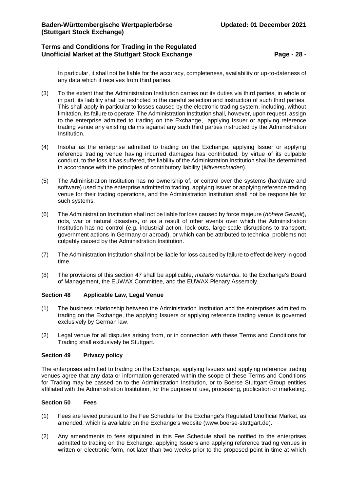# **Terms and Conditions for Trading in the Regulated Unofficial Market at the Stuttgart Stock Exchange <b>Page -** 28 -

In particular, it shall not be liable for the accuracy, completeness, availability or up-to-dateness of any data which it receives from third parties.

- (3) To the extent that the Administration Institution carries out its duties via third parties, in whole or in part, its liability shall be restricted to the careful selection and instruction of such third parties. This shall apply in particular to losses caused by the electronic trading system, including, without limitation, its failure to operate. The Administration Institution shall, however, upon request, assign to the enterprise admitted to trading on the Exchange, applying Issuer or applying reference trading venue any existing claims against any such third parties instructed by the Administration Institution.
- (4) Insofar as the enterprise admitted to trading on the Exchange, applying Issuer or applying reference trading venue having incurred damages has contributed, by virtue of its culpable conduct, to the loss it has suffered, the liability of the Administration Institution shall be determined in accordance with the principles of contributory liability (*Mitverschulden*).
- (5) The Administration Institution has no ownership of, or control over the systems (hardware and software) used by the enterprise admitted to trading, applying Issuer or applying reference trading venue for their trading operations, and the Administration Institution shall not be responsible for such systems.
- (6) The Administration Institution shall not be liable for loss caused by force majeure (*höhere Gewalt*), riots, war or natural disasters, or as a result of other events over which the Administration Institution has no control (e.g. industrial action, lock-outs, large-scale disruptions to transport, government actions in Germany or abroad), or which can be attributed to technical problems not culpably caused by the Administration Institution.
- (7) The Administration Institution shall not be liable for loss caused by failure to effect delivery in good time.
- (8) The provisions of this section 47 shall be applicable, *mutatis mutandis*, to the Exchange's Board of Management, the EUWAX Committee, and the EUWAX Plenary Assembly.

## <span id="page-27-0"></span>**Section 48 Applicable Law, Legal Venue**

- (1) The business relationship between the Administration Institution and the enterprises admitted to trading on the Exchange, the applying Issuers or applying reference trading venue is governed exclusively by German law.
- (2) Legal venue for all disputes arising from, or in connection with these Terms and Conditions for Trading shall exclusively be Stuttgart.

### <span id="page-27-1"></span>**Section 49 Privacy policy**

The enterprises admitted to trading on the Exchange, applying Issuers and applying reference trading venues agree that any data or information generated within the scope of these Terms and Conditions for Trading may be passed on to the Administration Institution, or to Boerse Stuttgart Group entities affiliated with the Administration Institution, for the purpose of use, processing, publication or marketing.

### <span id="page-27-2"></span>**Section 50 Fees**

- (1) Fees are levied pursuant to the Fee Schedule for the Exchange's Regulated Unofficial Market, as amended, which is available on the Exchange's website [\(www.boerse-stuttgart.de\)](http://www.boerse-stuttgart.de/).
- (2) Any amendments to fees stipulated in this Fee Schedule shall be notified to the enterprises admitted to trading on the Exchange, applying Issuers and applying reference trading venues in written or electronic form, not later than two weeks prior to the proposed point in time at which